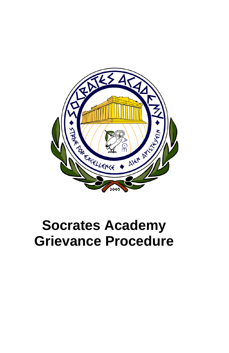

# **Socrates Academy Grievance Procedure**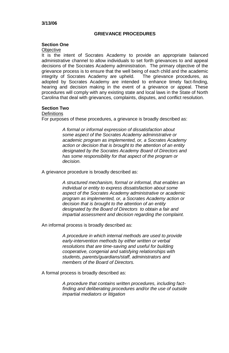# **GRIEVANCE PROCEDURES**

## **Section One**

#### **Objective**

It is the intent of Socrates Academy to provide an appropriate balanced administrative channel to allow individuals to set forth grievances to and appeal decisions of the Socrates Academy administration. The primary objective of the grievance process is to ensure that the well being of each child and the academic integrity of Socrates Academy are upheld. The grievance procedures, as adopted by Socrates Academy are intended to enhance timely fact-finding, hearing and decision making in the event of a grievance or appeal. These procedures will comply with any existing state and local laws in the State of North Carolina that deal with grievances, complaints, disputes, and conflict resolution.

# **Section Two**

#### **Definitions**

For purposes of these procedures, a grievance is broadly described as:

*A formal or informal expression of dissatisfaction about some aspect of the Socrates Academy administrative or academic program as implemented, or, a Socrates Academy action or decision that is brought to the attention of an entity designated by the Socrates Academy Board of Directors and has some responsibility for that aspect of the program or decision.*

A grievance procedure is broadly described as:

*A structured mechanism, formal or informal, that enables an individual or entity to express dissatisfaction about some aspect of the Socrates Academy administrative or academic program as implemented, or, a Socrates Academy action or decision that is brought to the attention of an entity designated by the Board of Directors to obtain a fair and impartial assessment and decision regarding the complaint.*

An informal process is broadly described as:

*A procedure in which internal methods are used to provide early-intervention methods by either written or verbal resolutions that are time-saving and useful for building cooperative, congenial and satisfying relationships with students, parents/guardians/staff, administrators and members of the Board of Directors.*

A formal process is broadly described as:

*A procedure that contains written procedures, including factfinding and deliberating procedures and/or the use of outside impartial mediators or litigation*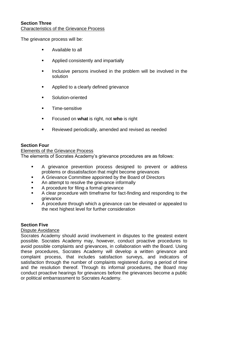The grievance process will be:

- **Available to all**
- **Applied consistently and impartially**
- Inclusive persons involved in the problem will be involved in the solution
- **Applied to a clearly defined grievance**
- **Solution-oriented**
- Time-sensitive
- Focused on **what** is right, not **who** is right
- **Reviewed periodically, amended and revised as needed**

#### **Section Four**

Elements of the Grievance Process The elements of Socrates Academy's grievance procedures are as follows:

- A grievance prevention process designed to prevent or address problems or dissatisfaction that might become grievances
- A Grievance Committee appointed by the Board of Directors
- An attempt to resolve the grievance informally
- A procedure for filing a formal grievance
- A clear procedure with timeframe for fact-finding and responding to the grievance
- A procedure through which a grievance can be elevated or appealed to the next highest level for further consideration

## **Section Five**

#### Dispute Avoidance

Socrates Academy should avoid involvement in disputes to the greatest extent possible. Socrates Academy may, however, conduct proactive procedures to avoid possible complaints and grievances, in collaboration with the Board. Using these procedures, Socrates Academy will develop a written grievance and complaint process, that includes satisfaction surveys, and indicators of satisfaction through the number of complaints registered during a period of time and the resolution thereof. Through its informal procedures, the Board may conduct proactive hearings for grievances before the grievances become a public or political embarrassment to Socrates Academy.